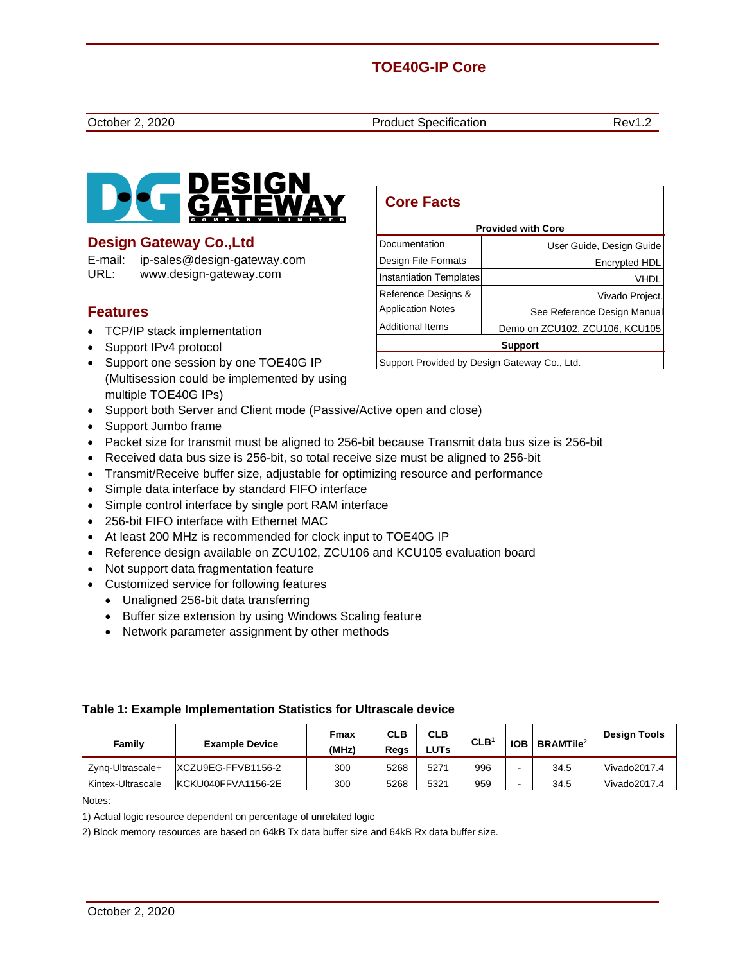# **TOE40G-IP Core**

October 2, 2020 **Product Specification** Rev1.2



# **Design Gateway Co.,Ltd**

E-mail: ip-sales@design-gateway.com URL: www.design-gateway.com

# **Features**

- TCP/IP stack implementation
- Support IPv4 protocol
- Support one session by one TOE40G IP (Multisession could be implemented by using multiple TOE40G IPs)
- Support both Server and Client mode (Passive/Active open and close)
- Support Jumbo frame
- Packet size for transmit must be aligned to 256-bit because Transmit data bus size is 256-bit
- Received data bus size is 256-bit, so total receive size must be aligned to 256-bit
- Transmit/Receive buffer size, adjustable for optimizing resource and performance
- Simple data interface by standard FIFO interface
- Simple control interface by single port RAM interface
- 256-bit FIFO interface with Ethernet MAC
- At least 200 MHz is recommended for clock input to TOE40G IP
- Reference design available on ZCU102, ZCU106 and KCU105 evaluation board
- Not support data fragmentation feature
- Customized service for following features
	- Unaligned 256-bit data transferring
	- Buffer size extension by using Windows Scaling feature
	- Network parameter assignment by other methods

#### **Table 1: Example Implementation Statistics for Ultrascale device**

| Family            | <b>Example Device</b> | Fmax<br>(MHz) | <b>CLB</b><br>Reas | <b>CLB</b><br><b>LUTs</b> | CLB <sup>1</sup> | <b>IOB</b> | <b>BRAMTile<sup>2</sup></b> | <b>Design Tools</b> |
|-------------------|-----------------------|---------------|--------------------|---------------------------|------------------|------------|-----------------------------|---------------------|
| Zvna-Ultrascale+  | IXCZU9EG-FFVB1156-2   | 300           | 5268               | 5271                      | 996              |            | 34.5                        | Vivado2017.4        |
| Kintex-Ultrascale | IKCKU040FFVA1156-2E   | 300           | 5268               | 5321                      | 959              |            | 34.5                        | Vivado2017.4        |

Notes:

1) Actual logic resource dependent on percentage of unrelated logic

2) Block memory resources are based on 64kB Tx data buffer size and 64kB Rx data buffer size.

| <b>Core Facts</b>                            |                                |  |  |  |
|----------------------------------------------|--------------------------------|--|--|--|
| <b>Provided with Core</b>                    |                                |  |  |  |
| Documentation                                | User Guide, Design Guide       |  |  |  |
| Design File Formats                          | Encrypted HDL                  |  |  |  |
| Instantiation Templates                      | VHDL                           |  |  |  |
| Reference Designs &                          | Vivado Project,                |  |  |  |
| <b>Application Notes</b>                     | See Reference Design Manual    |  |  |  |
| <b>Additional Items</b>                      | Demo on ZCU102, ZCU106, KCU105 |  |  |  |
| <b>Support</b>                               |                                |  |  |  |
| Support Provided by Design Gateway Co., Ltd. |                                |  |  |  |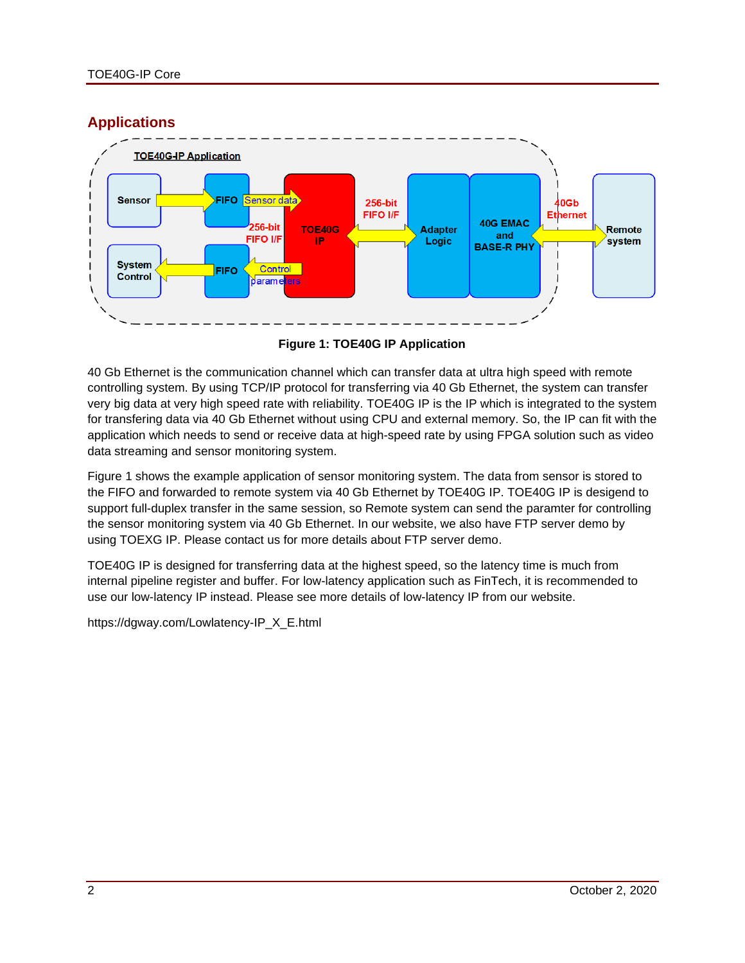# **Applications**



**Figure 1: TOE40G IP Application**

<span id="page-1-0"></span>40 Gb Ethernet is the communication channel which can transfer data at ultra high speed with remote controlling system. By using TCP/IP protocol for transferring via 40 Gb Ethernet, the system can transfer very big data at very high speed rate with reliability. TOE40G IP is the IP which is integrated to the system for transfering data via 40 Gb Ethernet without using CPU and external memory. So, the IP can fit with the application which needs to send or receive data at high-speed rate by using FPGA solution such as video data streaming and sensor monitoring system.

[Figure 1](#page-1-0) shows the example application of sensor monitoring system. The data from sensor is stored to the FIFO and forwarded to remote system via 40 Gb Ethernet by TOE40G IP. TOE40G IP is desigend to support full-duplex transfer in the same session, so Remote system can send the paramter for controlling the sensor monitoring system via 40 Gb Ethernet. In our website, we also have FTP server demo by using TOEXG IP. Please contact us for more details about FTP server demo.

TOE40G IP is designed for transferring data at the highest speed, so the latency time is much from internal pipeline register and buffer. For low-latency application such as FinTech, it is recommended to use our low-latency IP instead. Please see more details of low-latency IP from our website.

[https://dgway.com/Lowlatency-IP\\_X\\_E.html](https://dgway.com/Lowlatency-IP_X_E.html)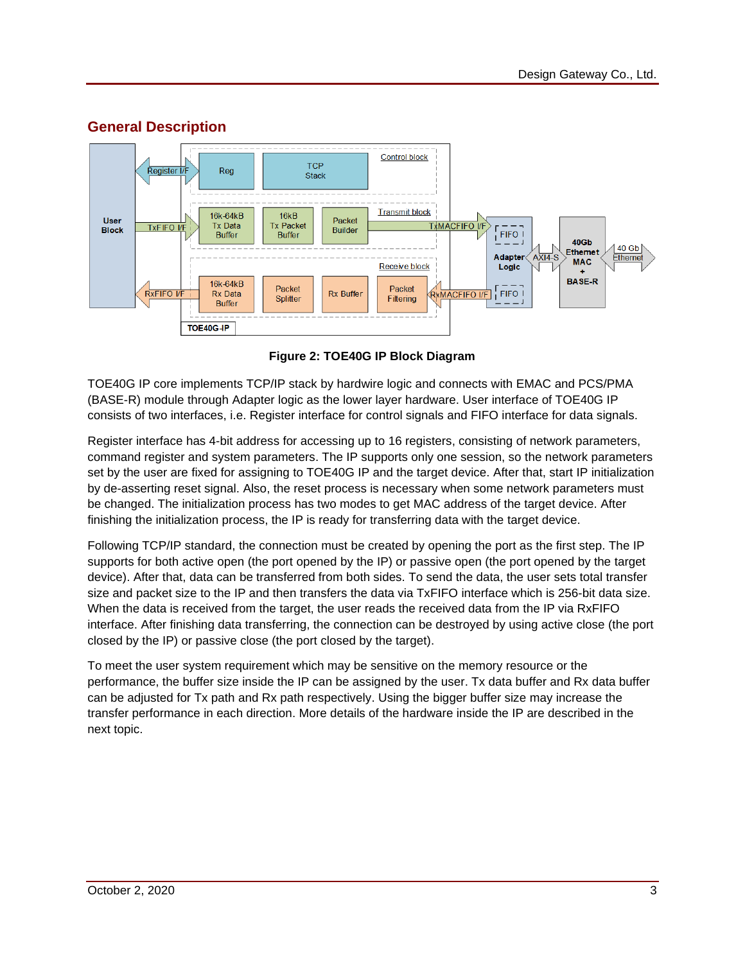

# **General Description**

**Figure 2: TOE40G IP Block Diagram**

TOE40G IP core implements TCP/IP stack by hardwire logic and connects with EMAC and PCS/PMA (BASE-R) module through Adapter logic as the lower layer hardware. User interface of TOE40G IP consists of two interfaces, i.e. Register interface for control signals and FIFO interface for data signals.

Register interface has 4-bit address for accessing up to 16 registers, consisting of network parameters, command register and system parameters. The IP supports only one session, so the network parameters set by the user are fixed for assigning to TOE40G IP and the target device. After that, start IP initialization by de-asserting reset signal. Also, the reset process is necessary when some network parameters must be changed. The initialization process has two modes to get MAC address of the target device. After finishing the initialization process, the IP is ready for transferring data with the target device.

Following TCP/IP standard, the connection must be created by opening the port as the first step. The IP supports for both active open (the port opened by the IP) or passive open (the port opened by the target device). After that, data can be transferred from both sides. To send the data, the user sets total transfer size and packet size to the IP and then transfers the data via TxFIFO interface which is 256-bit data size. When the data is received from the target, the user reads the received data from the IP via RxFIFO interface. After finishing data transferring, the connection can be destroyed by using active close (the port closed by the IP) or passive close (the port closed by the target).

To meet the user system requirement which may be sensitive on the memory resource or the performance, the buffer size inside the IP can be assigned by the user. Tx data buffer and Rx data buffer can be adjusted for Tx path and Rx path respectively. Using the bigger buffer size may increase the transfer performance in each direction. More details of the hardware inside the IP are described in the next topic.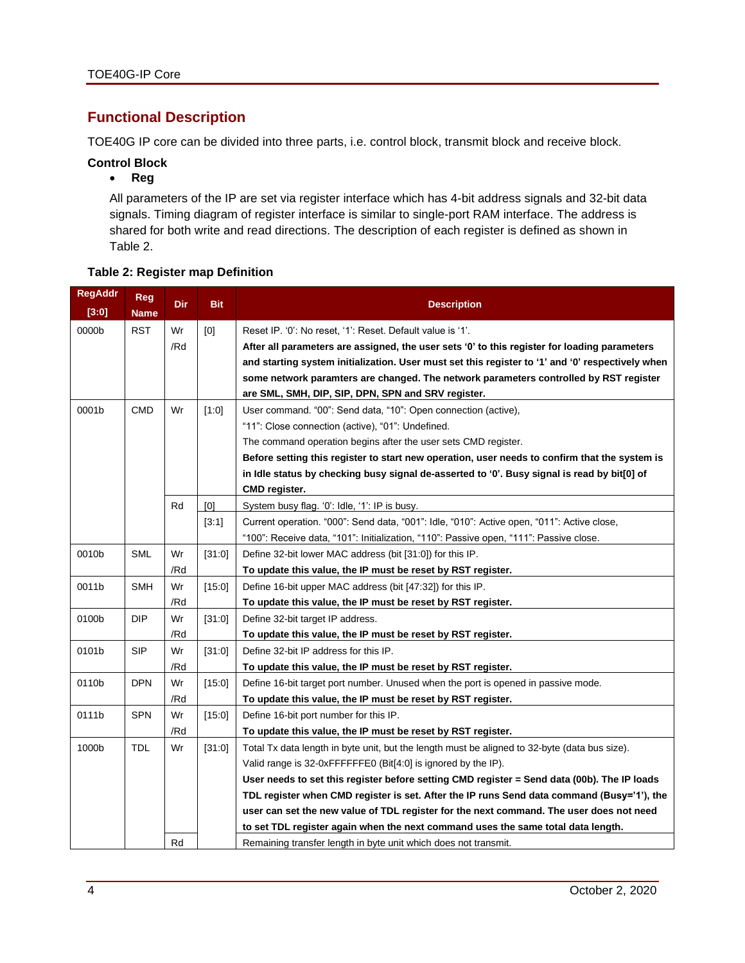# **Functional Description**

TOE40G IP core can be divided into three parts, i.e. control block, transmit block and receive block.

#### **Control Block**

#### • **Reg**

All parameters of the IP are set via register interface which has 4-bit address signals and 32-bit data signals. Timing diagram of register interface is similar to single-port RAM interface. The address is shared for both write and read directions. The description of each register is defined as shown in [Table 2.](#page-3-0)

### <span id="page-3-0"></span>**Table 2: Register map Definition**

| <b>RegAddr</b><br>[3:0] | <b>Reg</b><br><b>Name</b> | <b>Dir</b> | <b>Bit</b> | <b>Description</b>                                                                               |
|-------------------------|---------------------------|------------|------------|--------------------------------------------------------------------------------------------------|
| 0000b                   | <b>RST</b>                | Wr         | [0]        | Reset IP. '0': No reset, '1': Reset. Default value is '1'.                                       |
|                         |                           | /Rd        |            | After all parameters are assigned, the user sets '0' to this register for loading parameters     |
|                         |                           |            |            | and starting system initialization. User must set this register to '1' and '0' respectively when |
|                         |                           |            |            | some network paramters are changed. The network parameters controlled by RST register            |
|                         |                           |            |            | are SML, SMH, DIP, SIP, DPN, SPN and SRV register.                                               |
| 0001b                   | <b>CMD</b>                | Wr         | [1:0]      | User command. "00": Send data, "10": Open connection (active),                                   |
|                         |                           |            |            | "11": Close connection (active), "01": Undefined.                                                |
|                         |                           |            |            | The command operation begins after the user sets CMD register.                                   |
|                         |                           |            |            | Before setting this register to start new operation, user needs to confirm that the system is    |
|                         |                           |            |            | in Idle status by checking busy signal de-asserted to '0'. Busy signal is read by bit[0] of      |
|                         |                           |            |            | CMD register.                                                                                    |
|                         |                           | Rd         | [0]        | System busy flag. '0': Idle, '1': IP is busy.                                                    |
|                         |                           |            | [3:1]      | Current operation. "000": Send data, "001": Idle, "010": Active open, "011": Active close,       |
|                         |                           |            |            | "100": Receive data, "101": Initialization, "110": Passive open, "111": Passive close.           |
| 0010b                   | <b>SML</b>                | Wr         | [31:0]     | Define 32-bit lower MAC address (bit [31:0]) for this IP.                                        |
|                         |                           | /Rd        |            | To update this value, the IP must be reset by RST register.                                      |
| 0011b                   | <b>SMH</b>                | Wr         | [15:0]     | Define 16-bit upper MAC address (bit [47:32]) for this IP.                                       |
|                         |                           | /Rd        |            | To update this value, the IP must be reset by RST register.                                      |
| 0100b                   | <b>DIP</b>                | Wr         | [31:0]     | Define 32-bit target IP address.                                                                 |
|                         |                           | /Rd        |            | To update this value, the IP must be reset by RST register.                                      |
| 0101b                   | <b>SIP</b>                | Wr         | [31:0]     | Define 32-bit IP address for this IP.                                                            |
|                         |                           | /Rd        |            | To update this value, the IP must be reset by RST register.                                      |
| 0110b                   | <b>DPN</b>                | Wr         | [15:0]     | Define 16-bit target port number. Unused when the port is opened in passive mode.                |
|                         |                           | /Rd        |            | To update this value, the IP must be reset by RST register.                                      |
| 0111b                   | <b>SPN</b>                | Wr         | [15:0]     | Define 16-bit port number for this IP.                                                           |
|                         |                           | /Rd        |            | To update this value, the IP must be reset by RST register.                                      |
| 1000b                   | <b>TDL</b>                | Wr         | [31:0]     | Total Tx data length in byte unit, but the length must be aligned to 32-byte (data bus size).    |
|                         |                           |            |            | Valid range is 32-0xFFFFFFE0 (Bit[4:0] is ignored by the IP).                                    |
|                         |                           |            |            | User needs to set this register before setting CMD register = Send data (00b). The IP loads      |
|                         |                           |            |            | TDL register when CMD register is set. After the IP runs Send data command (Busy='1'), the       |
|                         |                           |            |            | user can set the new value of TDL register for the next command. The user does not need          |
|                         |                           |            |            | to set TDL register again when the next command uses the same total data length.                 |
|                         |                           | Rd         |            | Remaining transfer length in byte unit which does not transmit.                                  |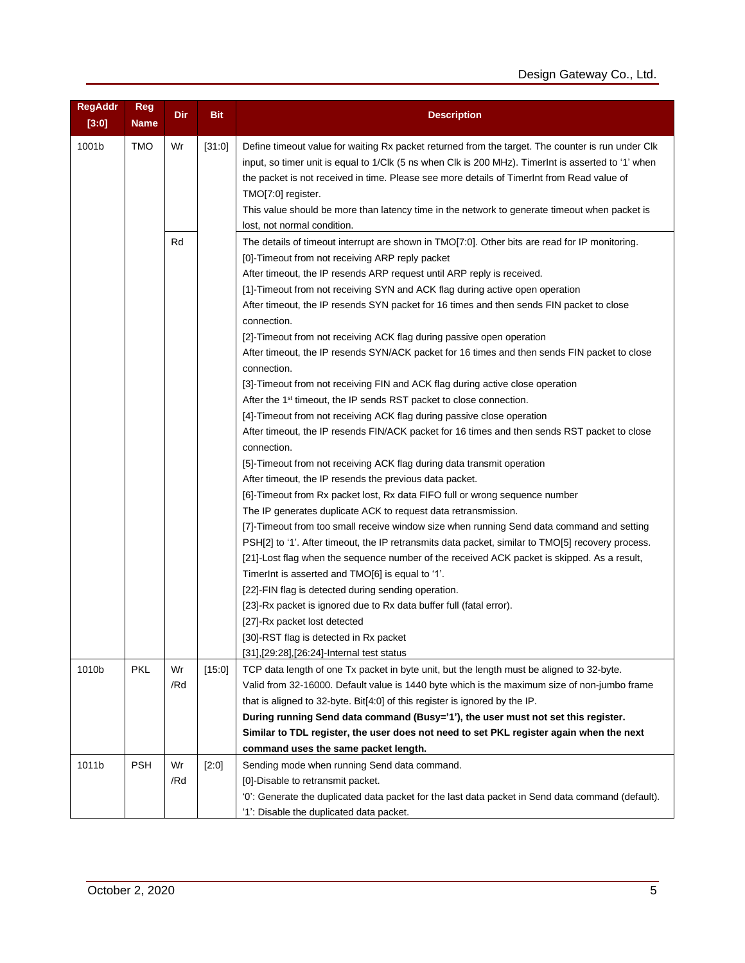| <b>RegAddr</b><br>[3:0] | <b>Reg</b><br><b>Name</b> | Dir       | <b>Bit</b> | <b>Description</b>                                                                                                                                                                                                                                                                                                                                                                                                                                                                                                                                                                                                                                                                                                                                                                                                                                                                                                                                                                                                                                                                                                                                                                                                                                                                                                                                                                                                                                                                                                                                                                                                                                                                                                                                                                                                             |
|-------------------------|---------------------------|-----------|------------|--------------------------------------------------------------------------------------------------------------------------------------------------------------------------------------------------------------------------------------------------------------------------------------------------------------------------------------------------------------------------------------------------------------------------------------------------------------------------------------------------------------------------------------------------------------------------------------------------------------------------------------------------------------------------------------------------------------------------------------------------------------------------------------------------------------------------------------------------------------------------------------------------------------------------------------------------------------------------------------------------------------------------------------------------------------------------------------------------------------------------------------------------------------------------------------------------------------------------------------------------------------------------------------------------------------------------------------------------------------------------------------------------------------------------------------------------------------------------------------------------------------------------------------------------------------------------------------------------------------------------------------------------------------------------------------------------------------------------------------------------------------------------------------------------------------------------------|
| 1001b                   | <b>TMO</b>                | Wr        | [31:0]     | Define timeout value for waiting Rx packet returned from the target. The counter is run under Clk<br>input, so timer unit is equal to 1/Clk (5 ns when Clk is 200 MHz). TimerInt is asserted to '1' when<br>the packet is not received in time. Please see more details of Timerlnt from Read value of<br>TMO[7:0] register.<br>This value should be more than latency time in the network to generate timeout when packet is<br>lost, not normal condition.                                                                                                                                                                                                                                                                                                                                                                                                                                                                                                                                                                                                                                                                                                                                                                                                                                                                                                                                                                                                                                                                                                                                                                                                                                                                                                                                                                   |
|                         |                           | Rd        |            | The details of timeout interrupt are shown in TMO[7:0]. Other bits are read for IP monitoring.<br>[0]-Timeout from not receiving ARP reply packet<br>After timeout, the IP resends ARP request until ARP reply is received.<br>[1]-Timeout from not receiving SYN and ACK flag during active open operation<br>After timeout, the IP resends SYN packet for 16 times and then sends FIN packet to close<br>connection.<br>[2] Timeout from not receiving ACK flag during passive open operation<br>After timeout, the IP resends SYN/ACK packet for 16 times and then sends FIN packet to close<br>connection.<br>[3]-Timeout from not receiving FIN and ACK flag during active close operation<br>After the 1 <sup>st</sup> timeout, the IP sends RST packet to close connection.<br>[4] Timeout from not receiving ACK flag during passive close operation<br>After timeout, the IP resends FIN/ACK packet for 16 times and then sends RST packet to close<br>connection.<br>[5] Timeout from not receiving ACK flag during data transmit operation<br>After timeout, the IP resends the previous data packet.<br>[6]-Timeout from Rx packet lost, Rx data FIFO full or wrong sequence number<br>The IP generates duplicate ACK to request data retransmission.<br>[7]-Timeout from too small receive window size when running Send data command and setting<br>PSH[2] to '1'. After timeout, the IP retransmits data packet, similar to TMO[5] recovery process.<br>[21]-Lost flag when the sequence number of the received ACK packet is skipped. As a result,<br>TimerInt is asserted and TMO[6] is equal to '1'.<br>[22]-FIN flag is detected during sending operation.<br>[23]-Rx packet is ignored due to Rx data buffer full (fatal error).<br>[27]-Rx packet lost detected<br>[30] RST flag is detected in Rx packet |
| 1010b                   | PKL                       | Wr        | [15:0]     | [31], [29:28], [26:24] - Internal test status<br>TCP data length of one Tx packet in byte unit, but the length must be aligned to 32-byte.                                                                                                                                                                                                                                                                                                                                                                                                                                                                                                                                                                                                                                                                                                                                                                                                                                                                                                                                                                                                                                                                                                                                                                                                                                                                                                                                                                                                                                                                                                                                                                                                                                                                                     |
|                         |                           | /Rd       |            | Valid from 32-16000. Default value is 1440 byte which is the maximum size of non-jumbo frame<br>that is aligned to 32-byte. Bit[4:0] of this register is ignored by the IP.<br>During running Send data command (Busy='1'), the user must not set this register.<br>Similar to TDL register, the user does not need to set PKL register again when the next<br>command uses the same packet length.                                                                                                                                                                                                                                                                                                                                                                                                                                                                                                                                                                                                                                                                                                                                                                                                                                                                                                                                                                                                                                                                                                                                                                                                                                                                                                                                                                                                                            |
| 1011b                   | PSH                       | Wr<br>/Rd | [2:0]      | Sending mode when running Send data command.<br>[0]-Disable to retransmit packet.<br>'0': Generate the duplicated data packet for the last data packet in Send data command (default).<br>'1': Disable the duplicated data packet.                                                                                                                                                                                                                                                                                                                                                                                                                                                                                                                                                                                                                                                                                                                                                                                                                                                                                                                                                                                                                                                                                                                                                                                                                                                                                                                                                                                                                                                                                                                                                                                             |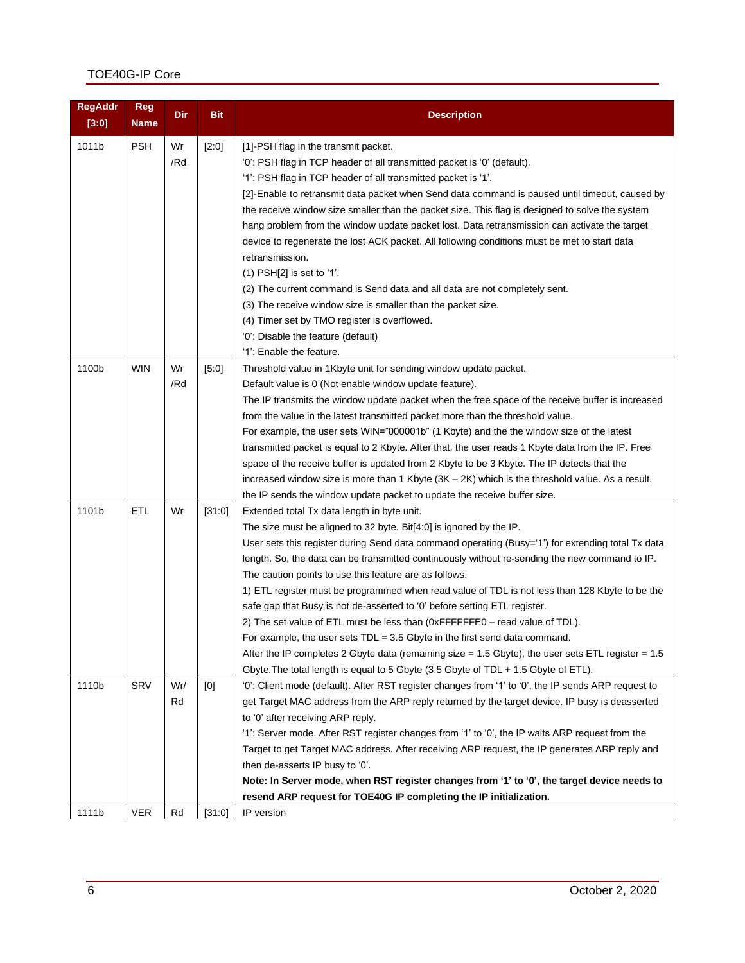# TOE40G-IP Core

| <b>RegAddr</b><br>[3:0] | <b>Reg</b><br><b>Name</b> | Dir       | <b>Bit</b> | <b>Description</b>                                                                                                                                                                                                                                                                                                                                                                                                                                                                                                                                                                                                                                                                                                                                                                                                                                                                                                              |
|-------------------------|---------------------------|-----------|------------|---------------------------------------------------------------------------------------------------------------------------------------------------------------------------------------------------------------------------------------------------------------------------------------------------------------------------------------------------------------------------------------------------------------------------------------------------------------------------------------------------------------------------------------------------------------------------------------------------------------------------------------------------------------------------------------------------------------------------------------------------------------------------------------------------------------------------------------------------------------------------------------------------------------------------------|
| 1011b                   | <b>PSH</b>                | Wr<br>/Rd | [2:0]      | [1]-PSH flag in the transmit packet.<br>'0': PSH flag in TCP header of all transmitted packet is '0' (default).<br>'1': PSH flag in TCP header of all transmitted packet is '1'.<br>[2]-Enable to retransmit data packet when Send data command is paused until timeout, caused by<br>the receive window size smaller than the packet size. This flag is designed to solve the system<br>hang problem from the window update packet lost. Data retransmission can activate the target<br>device to regenerate the lost ACK packet. All following conditions must be met to start data<br>retransmission.<br>$(1)$ PSH[2] is set to '1'.<br>(2) The current command is Send data and all data are not completely sent.<br>(3) The receive window size is smaller than the packet size.<br>(4) Timer set by TMO register is overflowed.<br>'0': Disable the feature (default)<br>'1': Enable the feature.                         |
| 1100b                   | <b>WIN</b>                | Wr<br>/Rd | [5:0]      | Threshold value in 1Kbyte unit for sending window update packet.<br>Default value is 0 (Not enable window update feature).<br>The IP transmits the window update packet when the free space of the receive buffer is increased<br>from the value in the latest transmitted packet more than the threshold value.<br>For example, the user sets WIN="000001b" (1 Kbyte) and the the window size of the latest<br>transmitted packet is equal to 2 Kbyte. After that, the user reads 1 Kbyte data from the IP. Free<br>space of the receive buffer is updated from 2 Kbyte to be 3 Kbyte. The IP detects that the<br>increased window size is more than 1 Kbyte $(3K – 2K)$ which is the threshold value. As a result,<br>the IP sends the window update packet to update the receive buffer size.                                                                                                                                |
| 1101b                   | <b>ETL</b>                | Wr        | [31:0]     | Extended total Tx data length in byte unit.<br>The size must be aligned to 32 byte. Bit[4:0] is ignored by the IP.<br>User sets this register during Send data command operating (Busy='1') for extending total Tx data<br>length. So, the data can be transmitted continuously without re-sending the new command to IP.<br>The caution points to use this feature are as follows.<br>1) ETL register must be programmed when read value of TDL is not less than 128 Kbyte to be the<br>safe gap that Busy is not de-asserted to '0' before setting ETL register.<br>2) The set value of ETL must be less than (0xFFFFFFE0 - read value of TDL).<br>For example, the user sets $TDL = 3.5$ Gbyte in the first send data command.<br>After the IP completes 2 Gbyte data (remaining size = 1.5 Gbyte), the user sets ETL register = $1.5$<br>Gbyte. The total length is equal to 5 Gbyte (3.5 Gbyte of TDL + 1.5 Gbyte of ETL). |
| 1110b                   | SRV                       | Wr/<br>Rd | [0]        | '0': Client mode (default). After RST register changes from '1' to '0', the IP sends ARP request to<br>get Target MAC address from the ARP reply returned by the target device. IP busy is deasserted<br>to '0' after receiving ARP reply.<br>'1': Server mode. After RST register changes from '1' to '0', the IP waits ARP request from the<br>Target to get Target MAC address. After receiving ARP request, the IP generates ARP reply and<br>then de-asserts IP busy to '0'.<br>Note: In Server mode, when RST register changes from '1' to '0', the target device needs to<br>resend ARP request for TOE40G IP completing the IP initialization.                                                                                                                                                                                                                                                                          |
| 1111b                   | <b>VER</b>                | Rd        | [31:0]     | IP version                                                                                                                                                                                                                                                                                                                                                                                                                                                                                                                                                                                                                                                                                                                                                                                                                                                                                                                      |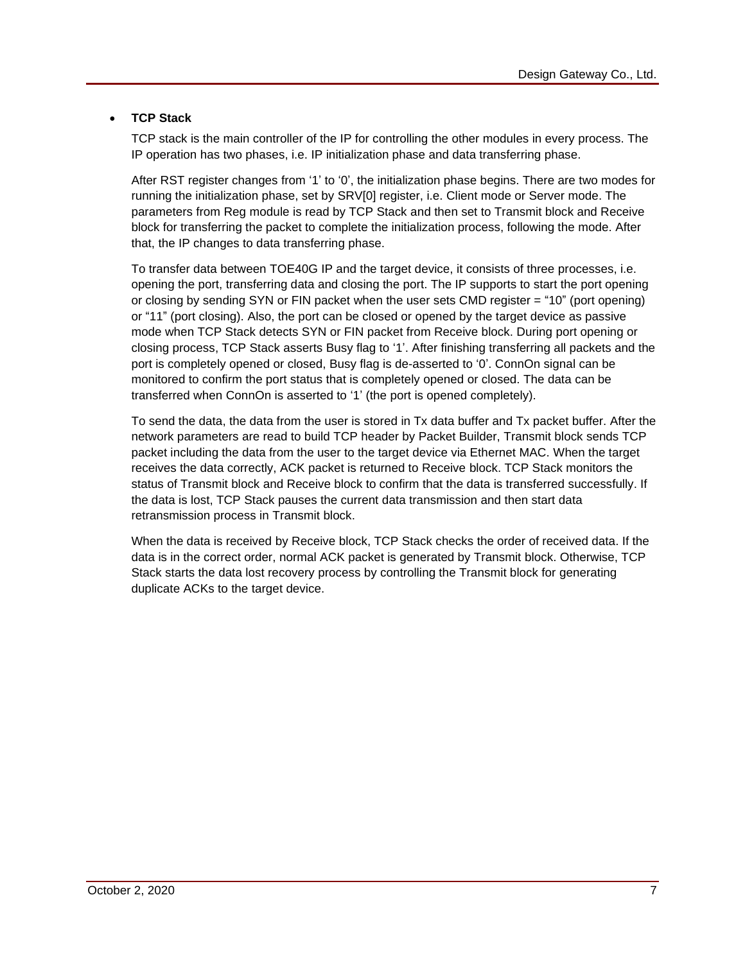### • **TCP Stack**

TCP stack is the main controller of the IP for controlling the other modules in every process. The IP operation has two phases, i.e. IP initialization phase and data transferring phase.

After RST register changes from '1' to '0', the initialization phase begins. There are two modes for running the initialization phase, set by SRV[0] register, i.e. Client mode or Server mode. The parameters from Reg module is read by TCP Stack and then set to Transmit block and Receive block for transferring the packet to complete the initialization process, following the mode. After that, the IP changes to data transferring phase.

To transfer data between TOE40G IP and the target device, it consists of three processes, i.e. opening the port, transferring data and closing the port. The IP supports to start the port opening or closing by sending SYN or FIN packet when the user sets CMD register = "10" (port opening) or "11" (port closing). Also, the port can be closed or opened by the target device as passive mode when TCP Stack detects SYN or FIN packet from Receive block. During port opening or closing process, TCP Stack asserts Busy flag to '1'. After finishing transferring all packets and the port is completely opened or closed, Busy flag is de-asserted to '0'. ConnOn signal can be monitored to confirm the port status that is completely opened or closed. The data can be transferred when ConnOn is asserted to '1' (the port is opened completely).

To send the data, the data from the user is stored in Tx data buffer and Tx packet buffer. After the network parameters are read to build TCP header by Packet Builder, Transmit block sends TCP packet including the data from the user to the target device via Ethernet MAC. When the target receives the data correctly, ACK packet is returned to Receive block. TCP Stack monitors the status of Transmit block and Receive block to confirm that the data is transferred successfully. If the data is lost, TCP Stack pauses the current data transmission and then start data retransmission process in Transmit block.

When the data is received by Receive block, TCP Stack checks the order of received data. If the data is in the correct order, normal ACK packet is generated by Transmit block. Otherwise, TCP Stack starts the data lost recovery process by controlling the Transmit block for generating duplicate ACKs to the target device.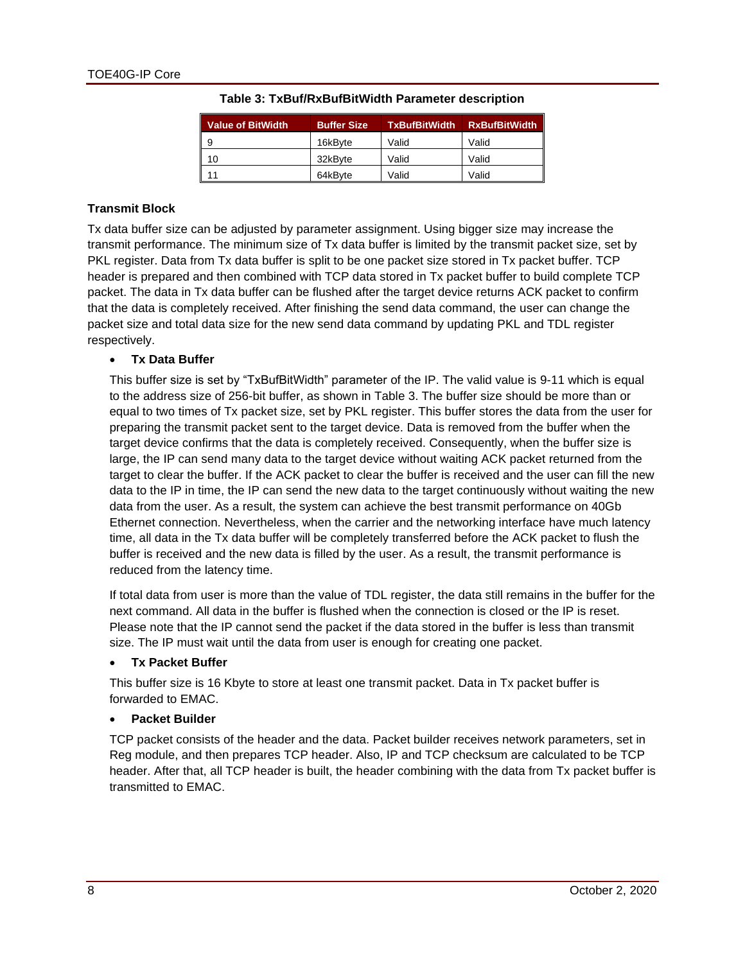| <b>Value of BitWidth</b> | <b>Buffer Size</b> | <b>TxBufBitWidth</b> | <b>RxBufBitWidth</b> |
|--------------------------|--------------------|----------------------|----------------------|
| 9                        | 16kBvte            | Valid                | Valid                |
| 10                       | 32kBvte            | Valid                | Valid                |
| 11                       | 64kBvte            | Valid                | Valid                |

#### **Table 3: TxBuf/RxBufBitWidth Parameter description**

#### <span id="page-7-0"></span>**Transmit Block**

Tx data buffer size can be adjusted by parameter assignment. Using bigger size may increase the transmit performance. The minimum size of Tx data buffer is limited by the transmit packet size, set by PKL register. Data from Tx data buffer is split to be one packet size stored in Tx packet buffer. TCP header is prepared and then combined with TCP data stored in Tx packet buffer to build complete TCP packet. The data in Tx data buffer can be flushed after the target device returns ACK packet to confirm that the data is completely received. After finishing the send data command, the user can change the packet size and total data size for the new send data command by updating PKL and TDL register respectively.

#### • **Tx Data Buffer**

This buffer size is set by "TxBufBitWidth" parameter of the IP. The valid value is 9-11 which is equal to the address size of 256-bit buffer, as shown in [Table 3.](#page-7-0) The buffer size should be more than or equal to two times of Tx packet size, set by PKL register. This buffer stores the data from the user for preparing the transmit packet sent to the target device. Data is removed from the buffer when the target device confirms that the data is completely received. Consequently, when the buffer size is large, the IP can send many data to the target device without waiting ACK packet returned from the target to clear the buffer. If the ACK packet to clear the buffer is received and the user can fill the new data to the IP in time, the IP can send the new data to the target continuously without waiting the new data from the user. As a result, the system can achieve the best transmit performance on 40Gb Ethernet connection. Nevertheless, when the carrier and the networking interface have much latency time, all data in the Tx data buffer will be completely transferred before the ACK packet to flush the buffer is received and the new data is filled by the user. As a result, the transmit performance is reduced from the latency time.

If total data from user is more than the value of TDL register, the data still remains in the buffer for the next command. All data in the buffer is flushed when the connection is closed or the IP is reset. Please note that the IP cannot send the packet if the data stored in the buffer is less than transmit size. The IP must wait until the data from user is enough for creating one packet.

#### • **Tx Packet Buffer**

This buffer size is 16 Kbyte to store at least one transmit packet. Data in Tx packet buffer is forwarded to EMAC.

#### • **Packet Builder**

TCP packet consists of the header and the data. Packet builder receives network parameters, set in Reg module, and then prepares TCP header. Also, IP and TCP checksum are calculated to be TCP header. After that, all TCP header is built, the header combining with the data from Tx packet buffer is transmitted to EMAC.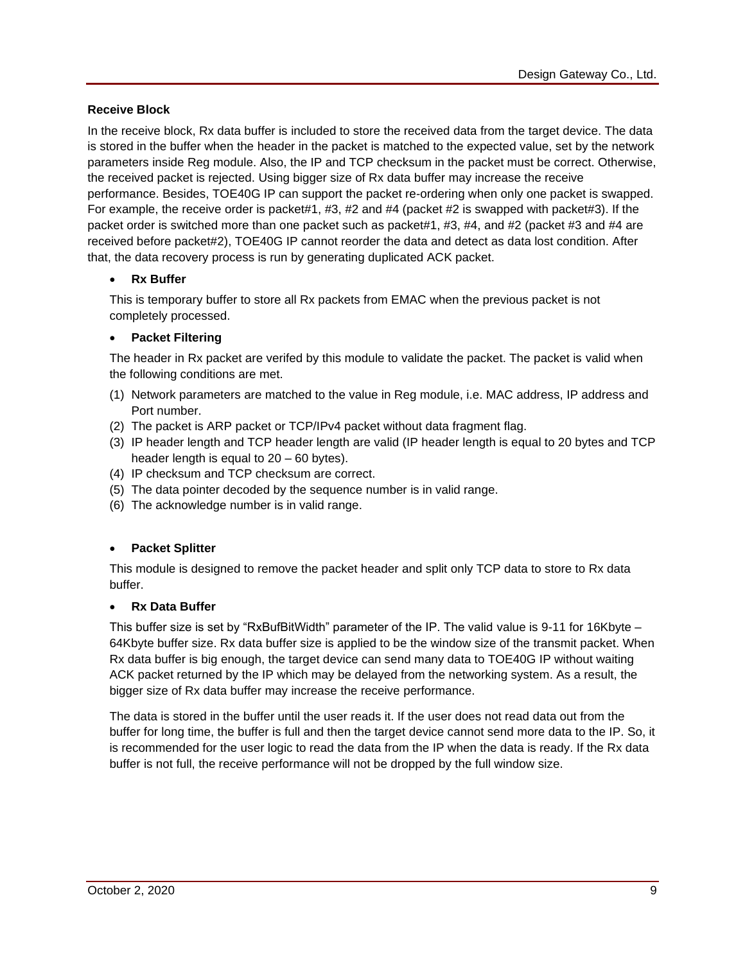## **Receive Block**

In the receive block, Rx data buffer is included to store the received data from the target device. The data is stored in the buffer when the header in the packet is matched to the expected value, set by the network parameters inside Reg module. Also, the IP and TCP checksum in the packet must be correct. Otherwise, the received packet is rejected. Using bigger size of Rx data buffer may increase the receive performance. Besides, TOE40G IP can support the packet re-ordering when only one packet is swapped. For example, the receive order is packet#1, #3, #2 and #4 (packet #2 is swapped with packet#3). If the packet order is switched more than one packet such as packet#1, #3, #4, and #2 (packet #3 and #4 are received before packet#2), TOE40G IP cannot reorder the data and detect as data lost condition. After that, the data recovery process is run by generating duplicated ACK packet.

## • **Rx Buffer**

This is temporary buffer to store all Rx packets from EMAC when the previous packet is not completely processed.

## • **Packet Filtering**

The header in Rx packet are verifed by this module to validate the packet. The packet is valid when the following conditions are met.

- (1) Network parameters are matched to the value in Reg module, i.e. MAC address, IP address and Port number.
- (2) The packet is ARP packet or TCP/IPv4 packet without data fragment flag.
- (3) IP header length and TCP header length are valid (IP header length is equal to 20 bytes and TCP header length is equal to 20 – 60 bytes).
- (4) IP checksum and TCP checksum are correct.
- (5) The data pointer decoded by the sequence number is in valid range.
- (6) The acknowledge number is in valid range.

## • **Packet Splitter**

This module is designed to remove the packet header and split only TCP data to store to Rx data buffer.

## • **Rx Data Buffer**

This buffer size is set by "RxBufBitWidth" parameter of the IP. The valid value is 9-11 for 16Kbyte -64Kbyte buffer size. Rx data buffer size is applied to be the window size of the transmit packet. When Rx data buffer is big enough, the target device can send many data to TOE40G IP without waiting ACK packet returned by the IP which may be delayed from the networking system. As a result, the bigger size of Rx data buffer may increase the receive performance.

The data is stored in the buffer until the user reads it. If the user does not read data out from the buffer for long time, the buffer is full and then the target device cannot send more data to the IP. So, it is recommended for the user logic to read the data from the IP when the data is ready. If the Rx data buffer is not full, the receive performance will not be dropped by the full window size.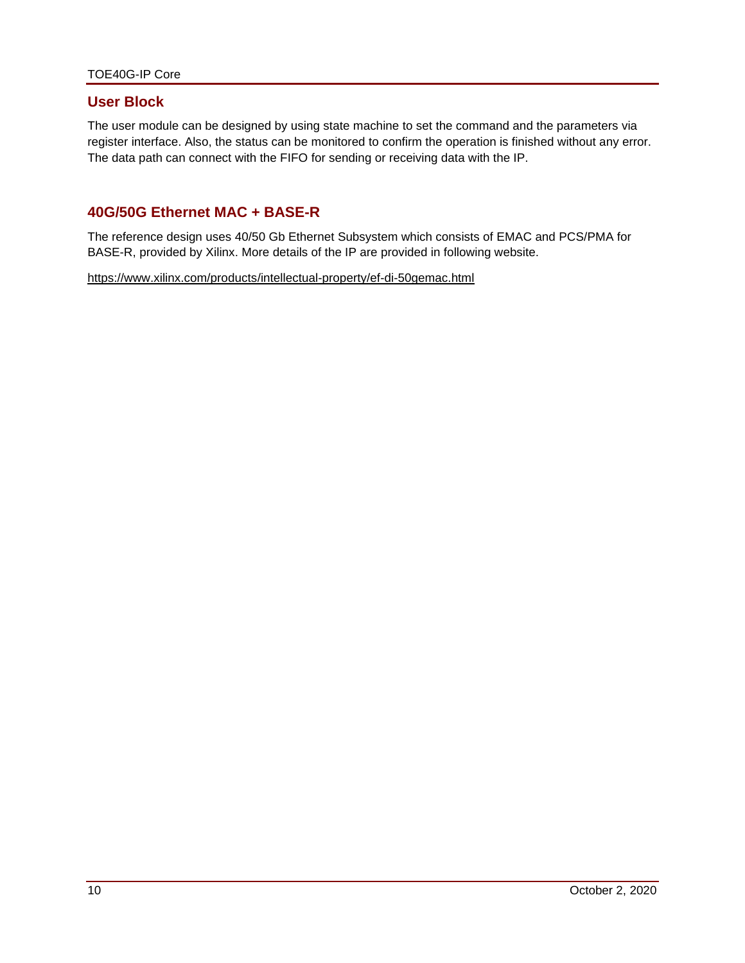## **User Block**

The user module can be designed by using state machine to set the command and the parameters via register interface. Also, the status can be monitored to confirm the operation is finished without any error. The data path can connect with the FIFO for sending or receiving data with the IP.

# **40G/50G Ethernet MAC + BASE-R**

The reference design uses 40/50 Gb Ethernet Subsystem which consists of EMAC and PCS/PMA for BASE-R, provided by Xilinx. More details of the IP are provided in following website.

<https://www.xilinx.com/products/intellectual-property/ef-di-50gemac.html>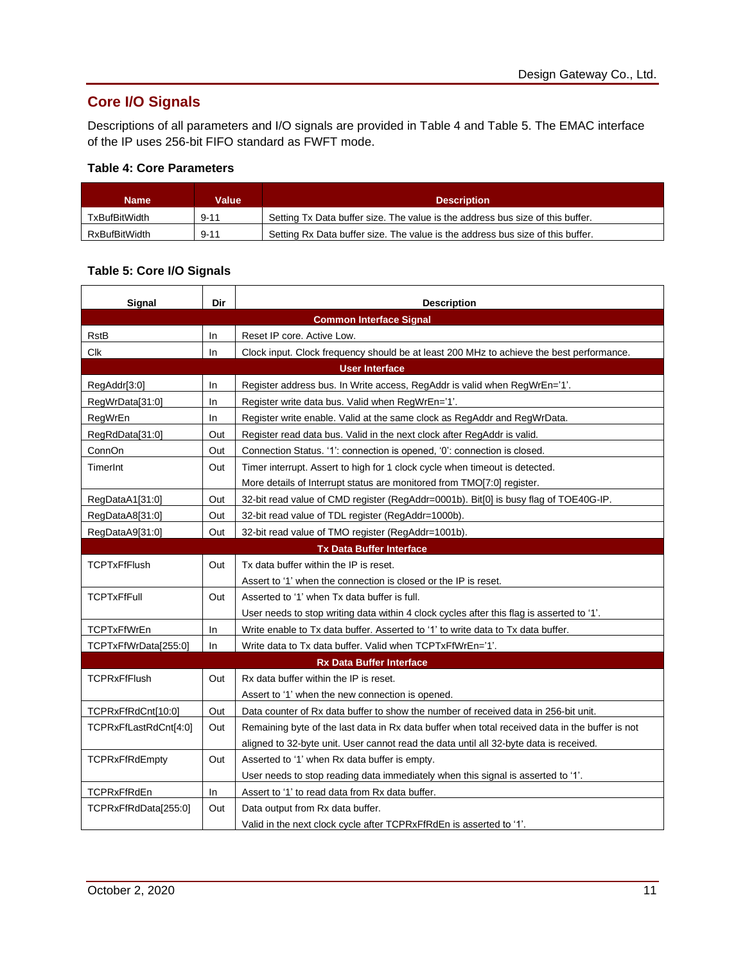# **Core I/O Signals**

Descriptions of all parameters and I/O signals are provided in [Table 4](#page-10-0) and [Table 5.](#page-10-1) The EMAC interface of the IP uses 256-bit FIFO standard as FWFT mode.

## <span id="page-10-0"></span>**Table 4: Core Parameters**

| <b>Name</b>   | Value    | <b>Description</b>                                                             |
|---------------|----------|--------------------------------------------------------------------------------|
| TxBufBitWidth | $9 - 11$ | Setting Tx Data buffer size. The value is the address bus size of this buffer. |
| RxBufBitWidth | $9 - 11$ | Setting Rx Data buffer size. The value is the address bus size of this buffer. |

# <span id="page-10-1"></span>**Table 5: Core I/O Signals**

| Signal                | Dir | <b>Description</b>                                                                              |  |  |
|-----------------------|-----|-------------------------------------------------------------------------------------------------|--|--|
|                       |     | <b>Common Interface Signal</b>                                                                  |  |  |
| <b>RstB</b>           | In  | Reset IP core, Active Low.                                                                      |  |  |
| <b>Clk</b>            | In  | Clock input. Clock frequency should be at least 200 MHz to achieve the best performance.        |  |  |
|                       |     | <b>User Interface</b>                                                                           |  |  |
| RegAddr[3:0]          | In  | Register address bus. In Write access, RegAddr is valid when RegWrEn='1'.                       |  |  |
| RegWrData[31:0]       | In  | Register write data bus. Valid when RegWrEn='1'.                                                |  |  |
| RegWrEn               | In  | Register write enable. Valid at the same clock as RegAddr and RegWrData.                        |  |  |
| RegRdData[31:0]       | Out | Register read data bus. Valid in the next clock after RegAddr is valid.                         |  |  |
| ConnOn                | Out | Connection Status. '1': connection is opened, '0': connection is closed.                        |  |  |
| TimerInt              | Out | Timer interrupt. Assert to high for 1 clock cycle when timeout is detected.                     |  |  |
|                       |     | More details of Interrupt status are monitored from TMO[7:0] register.                          |  |  |
| RegDataA1[31:0]       | Out | 32-bit read value of CMD register (RegAddr=0001b). Bit[0] is busy flag of TOE40G-IP.            |  |  |
| RegDataA8[31:0]       | Out | 32-bit read value of TDL register (RegAddr=1000b).                                              |  |  |
| RegDataA9[31:0]       | Out | 32-bit read value of TMO register (RegAddr=1001b).                                              |  |  |
|                       |     | <b>Tx Data Buffer Interface</b>                                                                 |  |  |
| <b>TCPTxFfFlush</b>   | Out | Tx data buffer within the IP is reset.                                                          |  |  |
|                       |     | Assert to '1' when the connection is closed or the IP is reset.                                 |  |  |
| <b>TCPTxFfFull</b>    | Out | Asserted to '1' when Tx data buffer is full.                                                    |  |  |
|                       |     | User needs to stop writing data within 4 clock cycles after this flag is asserted to '1'.       |  |  |
| <b>TCPTxFfWrEn</b>    | In. | Write enable to Tx data buffer. Asserted to '1' to write data to Tx data buffer.                |  |  |
| TCPTxFfWrData[255:0]  | In. | Write data to Tx data buffer. Valid when TCPTxFfWrEn='1'.                                       |  |  |
|                       |     | <b>Rx Data Buffer Interface</b>                                                                 |  |  |
| <b>TCPRxFfFlush</b>   | Out | Rx data buffer within the IP is reset.                                                          |  |  |
|                       |     | Assert to '1' when the new connection is opened.                                                |  |  |
| TCPRxFfRdCnt[10:0]    | Out | Data counter of Rx data buffer to show the number of received data in 256-bit unit.             |  |  |
| TCPRxFfLastRdCnt[4:0] | Out | Remaining byte of the last data in Rx data buffer when total received data in the buffer is not |  |  |
|                       |     | aligned to 32-byte unit. User cannot read the data until all 32-byte data is received.          |  |  |
| <b>TCPRxFfRdEmpty</b> | Out | Asserted to '1' when Rx data buffer is empty.                                                   |  |  |
|                       |     | User needs to stop reading data immediately when this signal is asserted to '1'.                |  |  |
| <b>TCPRxFfRdEn</b>    | In. | Assert to '1' to read data from Rx data buffer.                                                 |  |  |
| TCPRxFfRdData[255:0]  | Out | Data output from Rx data buffer.                                                                |  |  |
|                       |     | Valid in the next clock cycle after TCPRxFfRdEn is asserted to '1'.                             |  |  |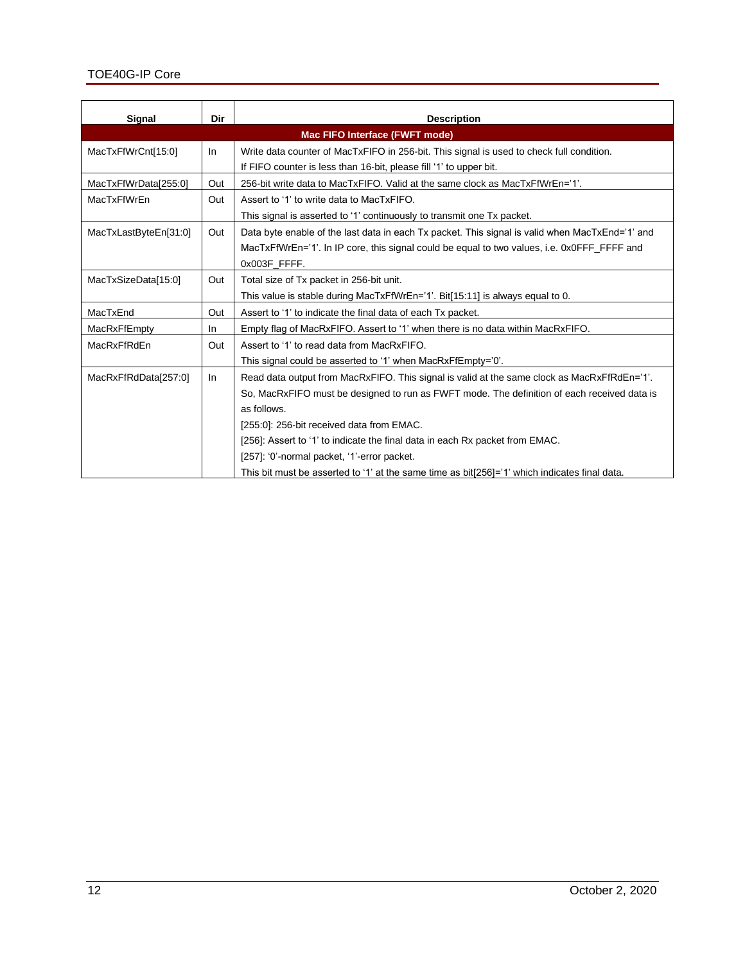| Signal                | Dir                                   | <b>Description</b>                                                                              |  |  |  |
|-----------------------|---------------------------------------|-------------------------------------------------------------------------------------------------|--|--|--|
|                       | <b>Mac FIFO Interface (FWFT mode)</b> |                                                                                                 |  |  |  |
| MacTxFfWrCnt[15:0]    | In                                    | Write data counter of MacTxFIFO in 256-bit. This signal is used to check full condition.        |  |  |  |
|                       |                                       | If FIFO counter is less than 16-bit, please fill '1' to upper bit.                              |  |  |  |
| MacTxFfWrData[255:0]  | Out                                   | 256-bit write data to MacTxFIFO. Valid at the same clock as MacTxFfWrEn='1'.                    |  |  |  |
| MacTxFfWrEn           | Out                                   | Assert to '1' to write data to MacTxFIFO.                                                       |  |  |  |
|                       |                                       | This signal is asserted to '1' continuously to transmit one Tx packet.                          |  |  |  |
| MacTxLastByteEn[31:0] | Out                                   | Data byte enable of the last data in each Tx packet. This signal is valid when MacTxEnd='1' and |  |  |  |
|                       |                                       | MacTxFfWrEn='1'. In IP core, this signal could be equal to two values, i.e. 0x0FFF_FFFF and     |  |  |  |
|                       |                                       | 0x003F FFFF.                                                                                    |  |  |  |
| MacTxSizeData[15:0]   | Out                                   | Total size of Tx packet in 256-bit unit.                                                        |  |  |  |
|                       |                                       | This value is stable during MacTxFfWrEn='1'. Bit[15:11] is always equal to 0.                   |  |  |  |
| MacTxEnd              | Out                                   | Assert to '1' to indicate the final data of each Tx packet.                                     |  |  |  |
| MacRxFfEmpty          | -In                                   | Empty flag of MacRxFIFO. Assert to '1' when there is no data within MacRxFIFO.                  |  |  |  |
| MacRxFfRdEn           | Out                                   | Assert to '1' to read data from MacRxFIFO.                                                      |  |  |  |
|                       |                                       | This signal could be asserted to '1' when MacRxFfEmpty='0'.                                     |  |  |  |
| MacRxFfRdData[257:0]  | In                                    | Read data output from MacRxFIFO. This signal is valid at the same clock as MacRxFfRdEn='1'.     |  |  |  |
|                       |                                       | So, MacRxFIFO must be designed to run as FWFT mode. The definition of each received data is     |  |  |  |
|                       |                                       | as follows.                                                                                     |  |  |  |
|                       |                                       | [255:0]: 256-bit received data from EMAC.                                                       |  |  |  |
|                       |                                       | [256]: Assert to '1' to indicate the final data in each Rx packet from EMAC.                    |  |  |  |
|                       |                                       | [257]: '0'-normal packet, '1'-error packet.                                                     |  |  |  |
|                       |                                       | This bit must be asserted to '1' at the same time as bit[256]='1' which indicates final data.   |  |  |  |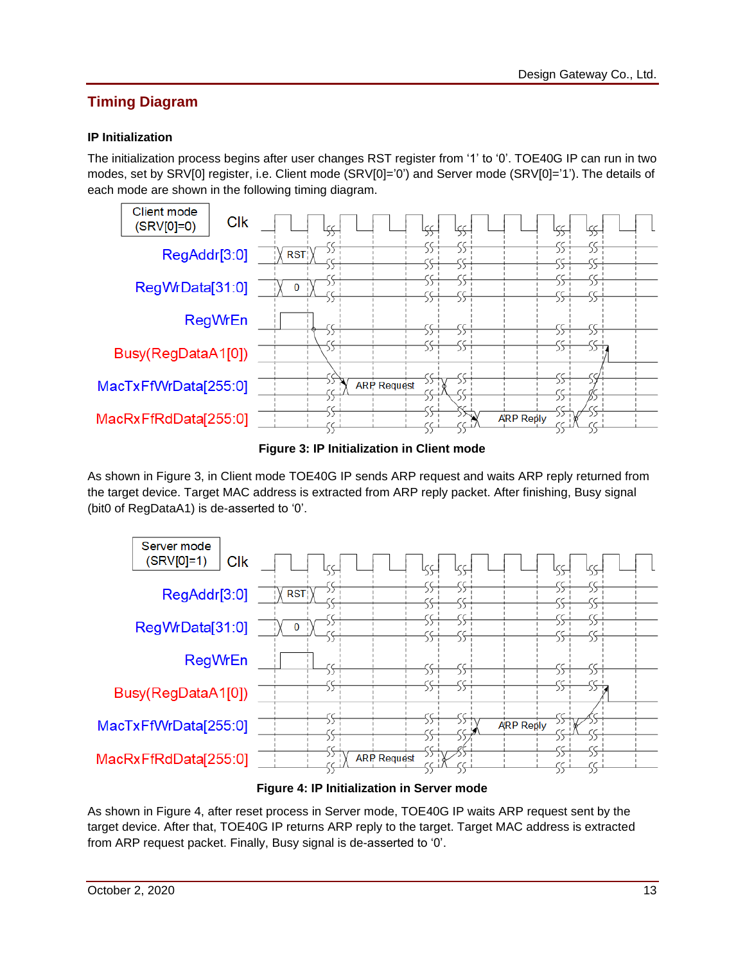# **Timing Diagram**

# **IP Initialization**

The initialization process begins after user changes RST register from '1' to '0'. TOE40G IP can run in two modes, set by SRV[0] register, i.e. Client mode (SRV[0]='0') and Server mode (SRV[0]='1'). The details of each mode are shown in the following timing diagram.



**Figure 3: IP Initialization in Client mode**

<span id="page-12-0"></span>As shown in [Figure 3,](#page-12-0) in Client mode TOE40G IP sends ARP request and waits ARP reply returned from the target device. Target MAC address is extracted from ARP reply packet. After finishing, Busy signal (bit0 of RegDataA1) is de-asserted to '0'.



**Figure 4: IP Initialization in Server mode**

<span id="page-12-1"></span>As shown in [Figure 4,](#page-12-1) after reset process in Server mode, TOE40G IP waits ARP request sent by the target device. After that, TOE40G IP returns ARP reply to the target. Target MAC address is extracted from ARP request packet. Finally, Busy signal is de-asserted to '0'.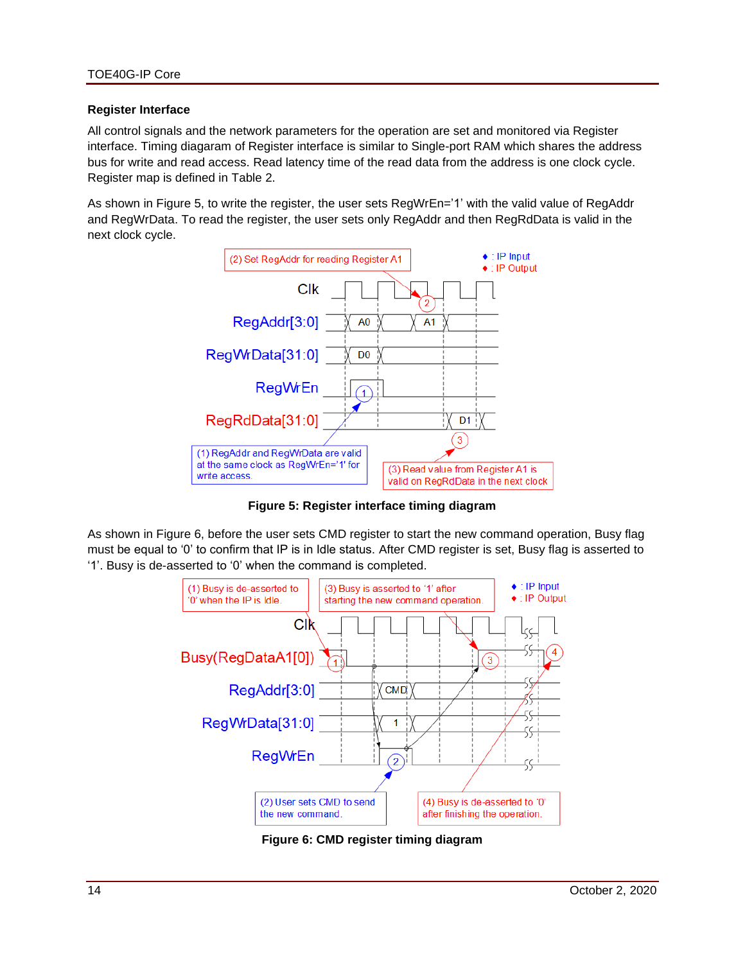#### **Register Interface**

All control signals and the network parameters for the operation are set and monitored via Register interface. Timing diagaram of Register interface is similar to Single-port RAM which shares the address bus for write and read access. Read latency time of the read data from the address is one clock cycle. Register map is defined in [Table 2.](#page-3-0)

As shown in [Figure 5,](#page-13-0) to write the register, the user sets RegWrEn='1' with the valid value of RegAddr and RegWrData. To read the register, the user sets only RegAddr and then RegRdData is valid in the next clock cycle.



**Figure 5: Register interface timing diagram**

<span id="page-13-0"></span>As shown in [Figure 6,](#page-13-1) before the user sets CMD register to start the new command operation, Busy flag must be equal to '0' to confirm that IP is in Idle status. After CMD register is set, Busy flag is asserted to '1'. Busy is de-asserted to '0' when the command is completed.



<span id="page-13-1"></span>**Figure 6: CMD register timing diagram**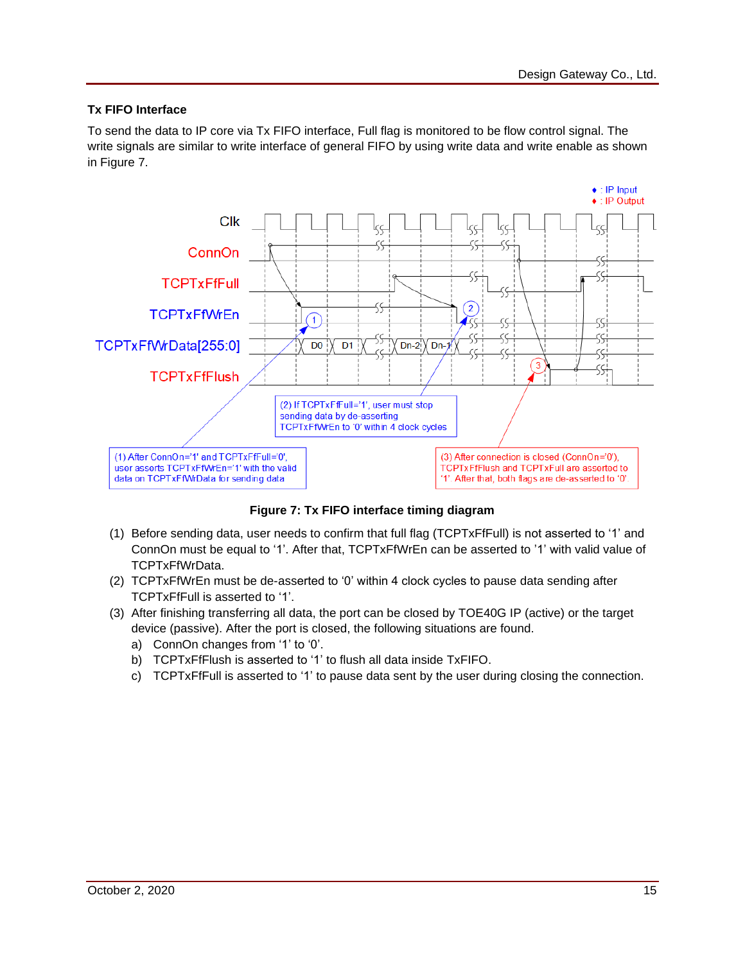## **Tx FIFO Interface**

To send the data to IP core via Tx FIFO interface, Full flag is monitored to be flow control signal. The write signals are similar to write interface of general FIFO by using write data and write enable as shown in [Figure 7.](#page-14-0)



**Figure 7: Tx FIFO interface timing diagram**

- <span id="page-14-0"></span>(1) Before sending data, user needs to confirm that full flag (TCPTxFfFull) is not asserted to '1' and ConnOn must be equal to '1'. After that, TCPTxFfWrEn can be asserted to '1' with valid value of TCPTxFfWrData.
- (2) TCPTxFfWrEn must be de-asserted to '0' within 4 clock cycles to pause data sending after TCPTxFfFull is asserted to '1'.
- (3) After finishing transferring all data, the port can be closed by TOE40G IP (active) or the target device (passive). After the port is closed, the following situations are found.
	- a) ConnOn changes from '1' to '0'.
	- b) TCPTxFfFlush is asserted to '1' to flush all data inside TxFIFO.
	- c) TCPTxFfFull is asserted to '1' to pause data sent by the user during closing the connection.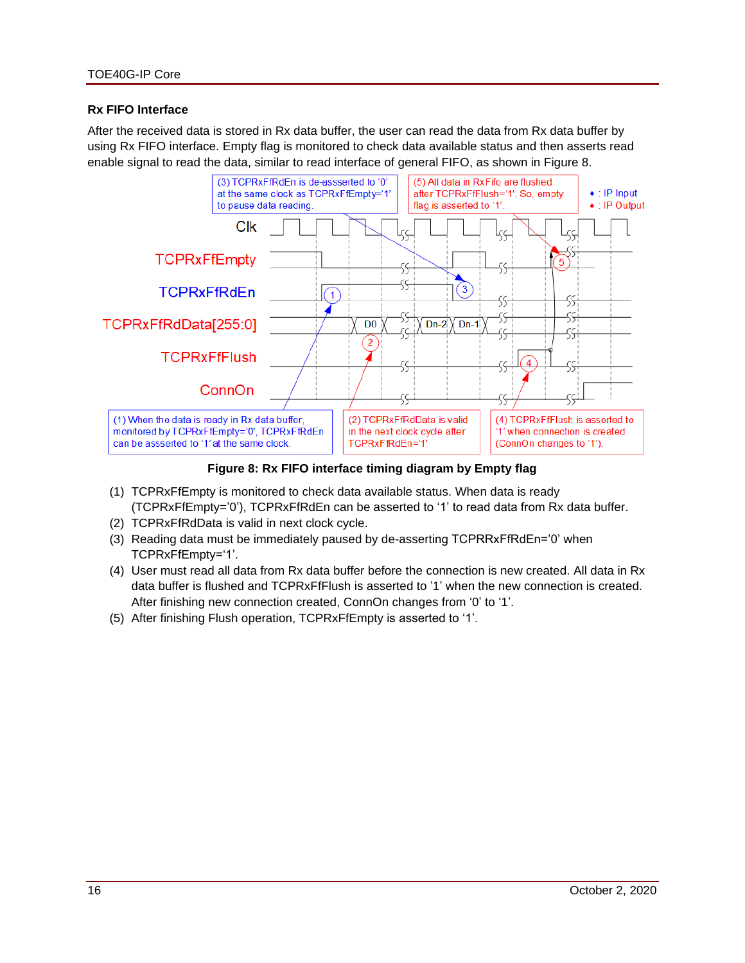### **Rx FIFO Interface**

After the received data is stored in Rx data buffer, the user can read the data from Rx data buffer by using Rx FIFO interface. Empty flag is monitored to check data available status and then asserts read enable signal to read the data, similar to read interface of general FIFO, as shown in [Figure 8.](#page-15-0)



**Figure 8: Rx FIFO interface timing diagram by Empty flag**

- <span id="page-15-0"></span>(1) TCPRxFfEmpty is monitored to check data available status. When data is ready (TCPRxFfEmpty='0'), TCPRxFfRdEn can be asserted to '1' to read data from Rx data buffer.
- (2) TCPRxFfRdData is valid in next clock cycle.
- (3) Reading data must be immediately paused by de-asserting TCPRRxFfRdEn='0' when TCPRxFfEmpty='1'.
- (4) User must read all data from Rx data buffer before the connection is new created. All data in Rx data buffer is flushed and TCPRxFfFlush is asserted to '1' when the new connection is created. After finishing new connection created, ConnOn changes from '0' to '1'.
- (5) After finishing Flush operation, TCPRxFfEmpty is asserted to '1'.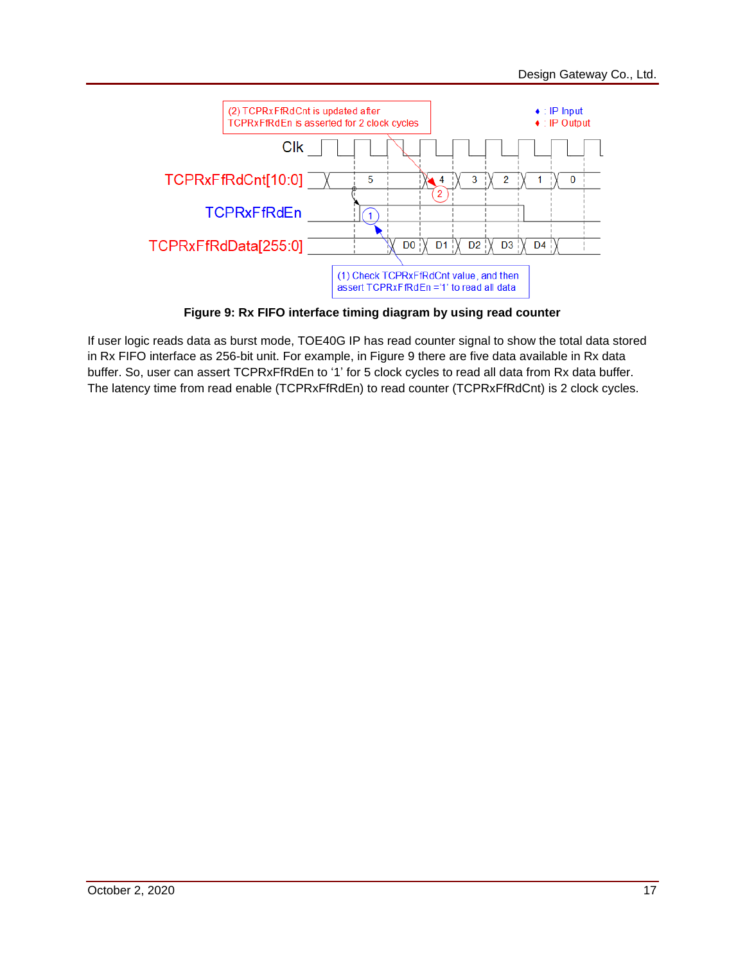

**Figure 9: Rx FIFO interface timing diagram by using read counter**

<span id="page-16-0"></span>If user logic reads data as burst mode, TOE40G IP has read counter signal to show the total data stored in Rx FIFO interface as 256-bit unit. For example, in [Figure 9](#page-16-0) there are five data available in Rx data buffer. So, user can assert TCPRxFfRdEn to '1' for 5 clock cycles to read all data from Rx data buffer. The latency time from read enable (TCPRxFfRdEn) to read counter (TCPRxFfRdCnt) is 2 clock cycles.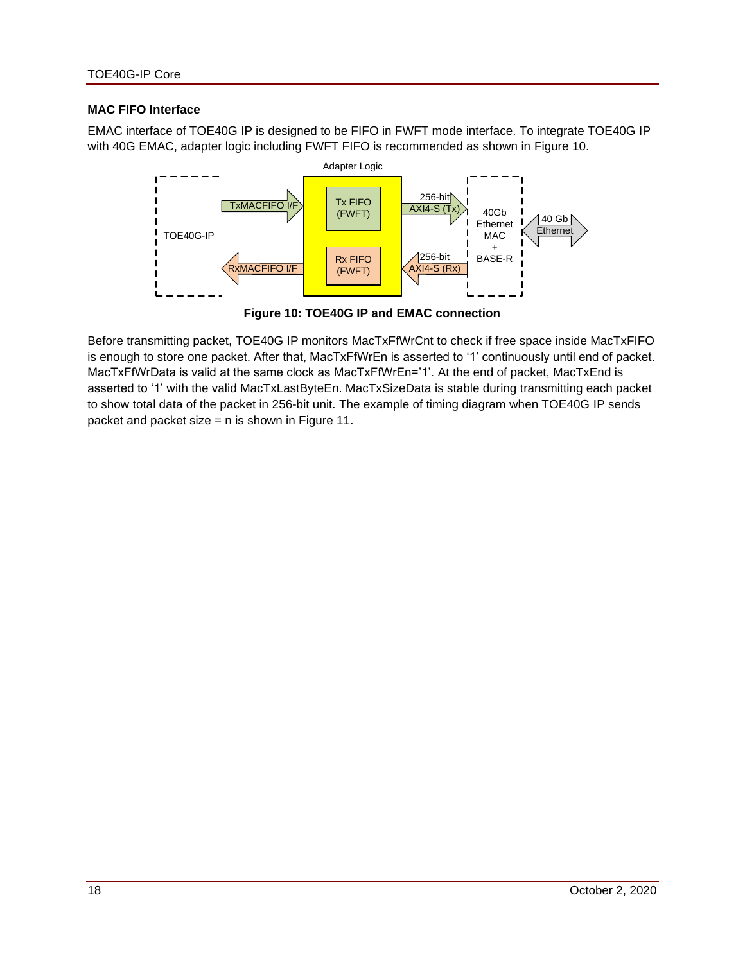#### **MAC FIFO Interface**

EMAC interface of TOE40G IP is designed to be FIFO in FWFT mode interface. To integrate TOE40G IP with 40G EMAC, adapter logic including FWFT FIFO is recommended as shown in [Figure 10.](#page-17-0)



**Figure 10: TOE40G IP and EMAC connection**

<span id="page-17-0"></span>Before transmitting packet, TOE40G IP monitors MacTxFfWrCnt to check if free space inside MacTxFIFO is enough to store one packet. After that, MacTxFfWrEn is asserted to '1' continuously until end of packet. MacTxFfWrData is valid at the same clock as MacTxFfWrEn='1'. At the end of packet, MacTxEnd is asserted to '1' with the valid MacTxLastByteEn. MacTxSizeData is stable during transmitting each packet to show total data of the packet in 256-bit unit. The example of timing diagram when TOE40G IP sends packet and packet size = n is shown in [Figure 11.](#page-18-0)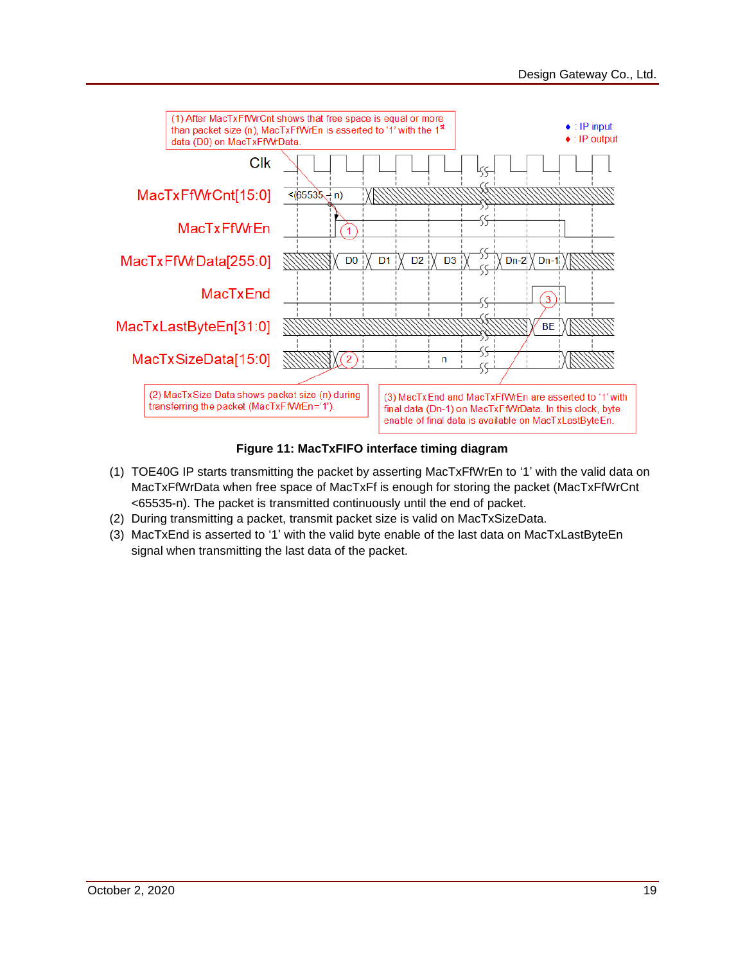

## **Figure 11: MacTxFIFO interface timing diagram**

- <span id="page-18-0"></span>(1) TOE40G IP starts transmitting the packet by asserting MacTxFfWrEn to '1' with the valid data on MacTxFfWrData when free space of MacTxFf is enough for storing the packet (MacTxFfWrCnt <65535-n). The packet is transmitted continuously until the end of packet.
- (2) During transmitting a packet, transmit packet size is valid on MacTxSizeData.
- (3) MacTxEnd is asserted to '1' with the valid byte enable of the last data on MacTxLastByteEn signal when transmitting the last data of the packet.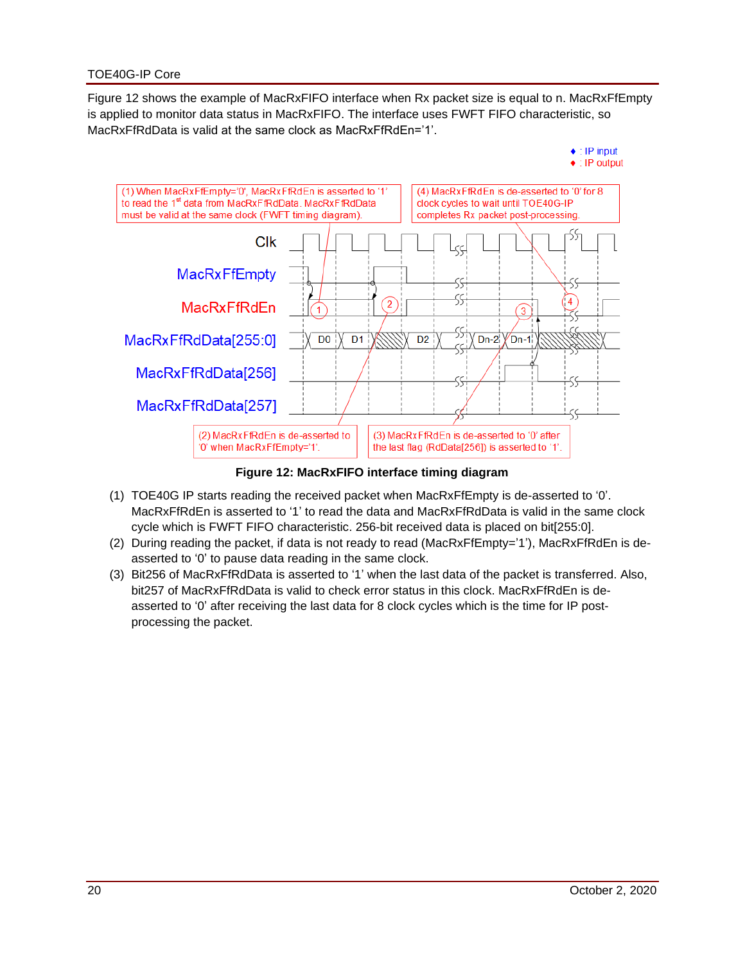[Figure 12](#page-19-0) shows the example of MacRxFIFO interface when Rx packet size is equal to n. MacRxFfEmpty is applied to monitor data status in MacRxFIFO. The interface uses FWFT FIFO characteristic, so MacRxFfRdData is valid at the same clock as MacRxFfRdEn='1'.



**Figure 12: MacRxFIFO interface timing diagram**

- <span id="page-19-0"></span>(1) TOE40G IP starts reading the received packet when MacRxFfEmpty is de-asserted to '0'. MacRxFfRdEn is asserted to '1' to read the data and MacRxFfRdData is valid in the same clock cycle which is FWFT FIFO characteristic. 256-bit received data is placed on bit[255:0].
- (2) During reading the packet, if data is not ready to read (MacRxFfEmpty='1'), MacRxFfRdEn is deasserted to '0' to pause data reading in the same clock.
- (3) Bit256 of MacRxFfRdData is asserted to '1' when the last data of the packet is transferred. Also, bit257 of MacRxFfRdData is valid to check error status in this clock. MacRxFfRdEn is deasserted to '0' after receiving the last data for 8 clock cycles which is the time for IP postprocessing the packet.

 $\bullet$  : IP input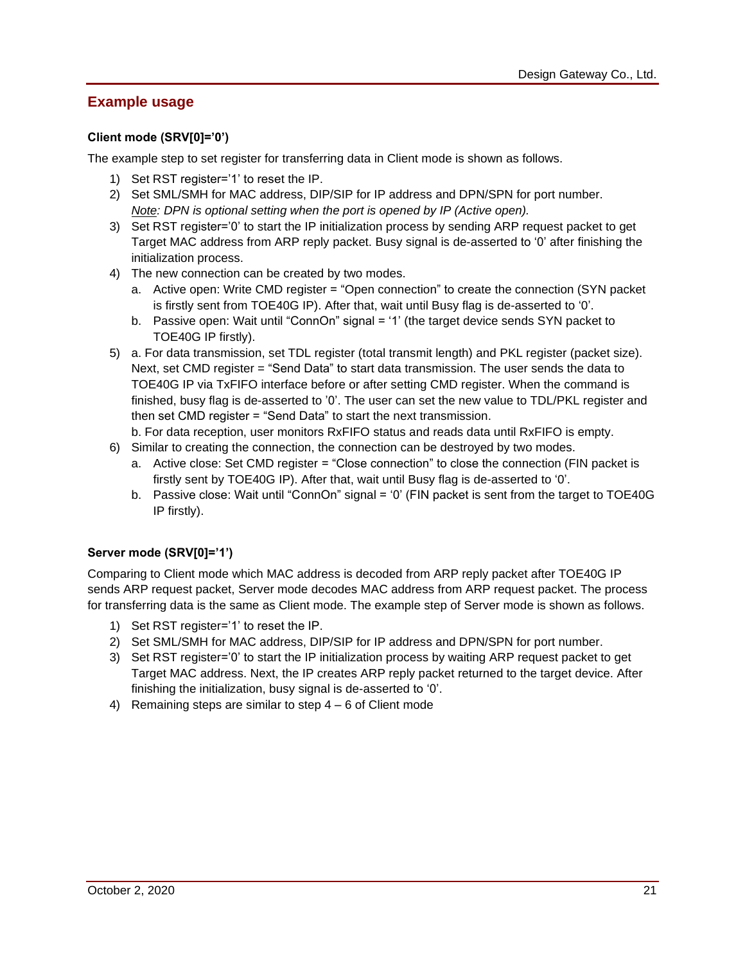# **Example usage**

# **Client mode (SRV[0]='0')**

The example step to set register for transferring data in Client mode is shown as follows.

- 1) Set RST register='1' to reset the IP.
- 2) Set SML/SMH for MAC address, DIP/SIP for IP address and DPN/SPN for port number. *Note: DPN is optional setting when the port is opened by IP (Active open).*
- 3) Set RST register='0' to start the IP initialization process by sending ARP request packet to get Target MAC address from ARP reply packet. Busy signal is de-asserted to '0' after finishing the initialization process.
- 4) The new connection can be created by two modes.
	- a. Active open: Write CMD register = "Open connection" to create the connection (SYN packet is firstly sent from TOE40G IP). After that, wait until Busy flag is de-asserted to '0'.
	- b. Passive open: Wait until "ConnOn" signal = '1' (the target device sends SYN packet to TOE40G IP firstly).
- 5) a. For data transmission, set TDL register (total transmit length) and PKL register (packet size). Next, set CMD register = "Send Data" to start data transmission. The user sends the data to TOE40G IP via TxFIFO interface before or after setting CMD register. When the command is finished, busy flag is de-asserted to '0'. The user can set the new value to TDL/PKL register and then set CMD register = "Send Data" to start the next transmission.
- b. For data reception, user monitors RxFIFO status and reads data until RxFIFO is empty.
- 6) Similar to creating the connection, the connection can be destroyed by two modes.
	- a. Active close: Set CMD register = "Close connection" to close the connection (FIN packet is firstly sent by TOE40G IP). After that, wait until Busy flag is de-asserted to '0'.
	- b. Passive close: Wait until "ConnOn" signal = '0' (FIN packet is sent from the target to TOE40G IP firstly).

## **Server mode (SRV[0]='1')**

Comparing to Client mode which MAC address is decoded from ARP reply packet after TOE40G IP sends ARP request packet, Server mode decodes MAC address from ARP request packet. The process for transferring data is the same as Client mode. The example step of Server mode is shown as follows.

- 1) Set RST register='1' to reset the IP.
- 2) Set SML/SMH for MAC address, DIP/SIP for IP address and DPN/SPN for port number.
- 3) Set RST register='0' to start the IP initialization process by waiting ARP request packet to get Target MAC address. Next, the IP creates ARP reply packet returned to the target device. After finishing the initialization, busy signal is de-asserted to '0'.
- 4) Remaining steps are similar to step 4 6 of Client mode